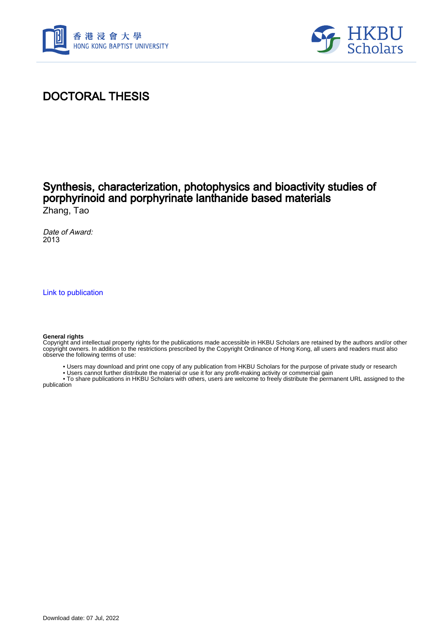



#### DOCTORAL THESIS

#### Synthesis, characterization, photophysics and bioactivity studies of porphyrinoid and porphyrinate lanthanide based materials Zhang, Tao

Date of Award: 2013

[Link to publication](https://scholars.hkbu.edu.hk/en/studentTheses/cc2210f6-bbb4-445a-83c1-a869785418f1)

#### **General rights**

Copyright and intellectual property rights for the publications made accessible in HKBU Scholars are retained by the authors and/or other copyright owners. In addition to the restrictions prescribed by the Copyright Ordinance of Hong Kong, all users and readers must also observe the following terms of use:

- Users may download and print one copy of any publication from HKBU Scholars for the purpose of private study or research
- Users cannot further distribute the material or use it for any profit-making activity or commercial gain

 • To share publications in HKBU Scholars with others, users are welcome to freely distribute the permanent URL assigned to the publication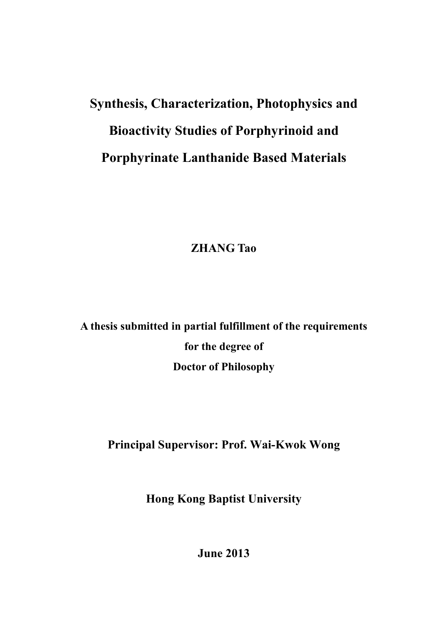## **Synthesis, Characterization, Photophysics and Bioactivity Studies of Porphyrinoid and Porphyrinate Lanthanide Based Materials**

**ZHANG Tao** 

**A thesis submitted in partial fulfillment of the requirements for the degree of Doctor of Philosophy** 

**Principal Supervisor: Prof. Wai-Kwok Wong** 

**Hong Kong Baptist University** 

**June 2013**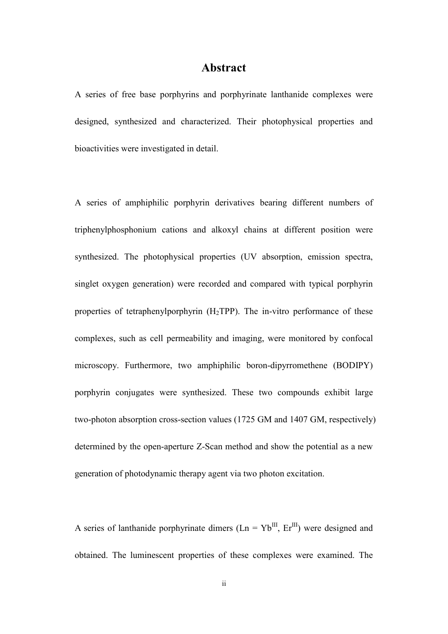#### **Abstract**

A series of free base porphyrins and porphyrinate lanthanide complexes were designed, synthesized and characterized. Their photophysical properties and bioactivities were investigated in detail.

A series of amphiphilic porphyrin derivatives bearing different numbers of triphenylphosphonium cations and alkoxyl chains at different position were synthesized. The photophysical properties (UV absorption, emission spectra, singlet oxygen generation) were recorded and compared with typical porphyrin properties of tetraphenylporphyrin  $(H_2TPP)$ . The in-vitro performance of these complexes, such as cell permeability and imaging, were monitored by confocal microscopy. Furthermore, two amphiphilic boron-dipyrromethene (BODIPY) porphyrin conjugates were synthesized. These two compounds exhibit large two-photon absorption cross-section values (1725 GM and 1407 GM, respectively) determined by the open-aperture Z-Scan method and show the potential as a new generation of photodynamic therapy agent via two photon excitation.

A series of lanthanide porphyrinate dimers  $(Ln = Yb^{III}, Er^{III})$  were designed and obtained. The luminescent properties of these complexes were examined. The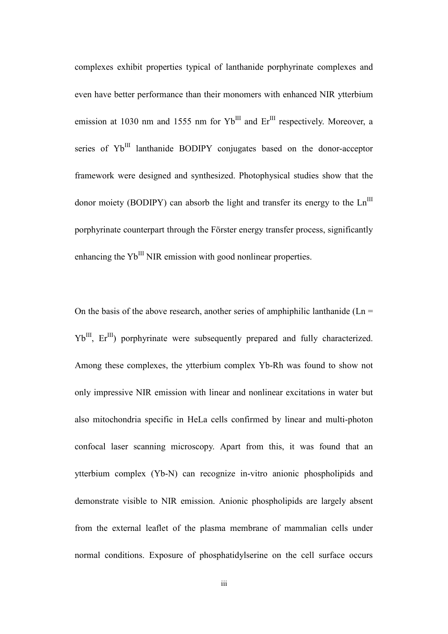complexes exhibit properties typical of lanthanide porphyrinate complexes and even have better performance than their monomers with enhanced NIR ytterbium emission at 1030 nm and 1555 nm for  $Yb^{III}$  and  $Er^{III}$  respectively. Moreover, a series of Yb<sup>III</sup> lanthanide BODIPY conjugates based on the donor-acceptor framework were designed and synthesized. Photophysical studies show that the donor moiety (BODIPY) can absorb the light and transfer its energy to the  $Ln^{III}$ porphyrinate counterpart through the Förster energy transfer process, significantly enhancing the  $Yb^{III}$  NIR emission with good nonlinear properties.

On the basis of the above research, another series of amphiphilic lanthanide ( $Ln =$  $Yb^{III}$ ,  $Er^{III}$ ) porphyrinate were subsequently prepared and fully characterized. Among these complexes, the ytterbium complex Yb-Rh was found to show not only impressive NIR emission with linear and nonlinear excitations in water but also mitochondria specific in HeLa cells confirmed by linear and multi-photon confocal laser scanning microscopy. Apart from this, it was found that an ytterbium complex (Yb-N) can recognize in-vitro anionic phospholipids and demonstrate visible to NIR emission. Anionic phospholipids are largely absent from the external leaflet of the plasma membrane of mammalian cells under normal conditions. Exposure of phosphatidylserine on the cell surface occurs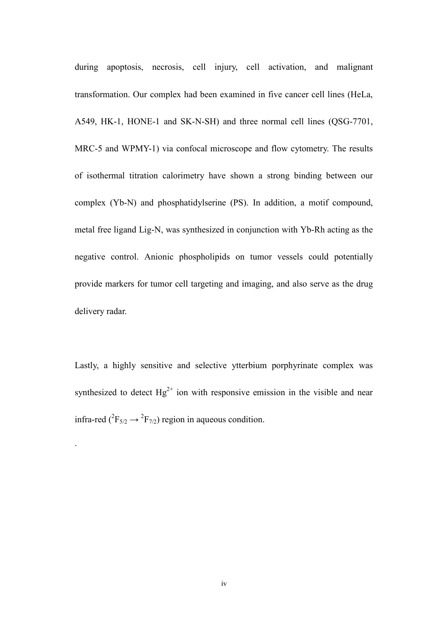during apoptosis, necrosis, cell injury, cell activation, and malignant transformation. Our complex had been examined in five cancer cell lines (HeLa, A549, HK-1, HONE-1 and SK-N-SH) and three normal cell lines (QSG-7701, MRC-5 and WPMY-1) via confocal microscope and flow cytometry. The results of isothermal titration calorimetry have shown a strong binding between our complex (Yb-N) and phosphatidylserine (PS). In addition, a motif compound, metal free ligand Lig-N, was synthesized in conjunction with Yb-Rh acting as the negative control. Anionic phospholipids on tumor vessels could potentially provide markers for tumor cell targeting and imaging, and also serve as the drug delivery radar.

Lastly, a highly sensitive and selective ytterbium porphyrinate complex was synthesized to detect  $Hg^{2+}$  ion with responsive emission in the visible and near infra-red ( ${}^{2}F_{5/2} \rightarrow {}^{2}F_{7/2}$ ) region in aqueous condition.

.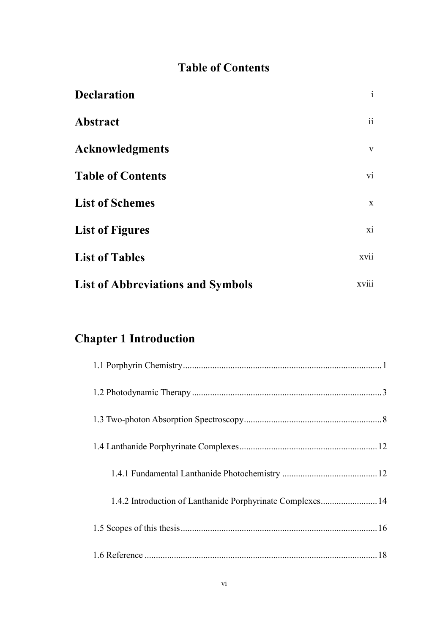### **Table of Contents**

| <b>Declaration</b>                       | $\mathbf{i}$     |
|------------------------------------------|------------------|
| <b>Abstract</b>                          | $\ddot{\rm{ii}}$ |
| <b>Acknowledgments</b>                   | $\mathbf{V}$     |
| <b>Table of Contents</b>                 | vi               |
| <b>List of Schemes</b>                   | $\mathbf X$      |
| <b>List of Figures</b>                   | xi               |
| <b>List of Tables</b>                    | xvii             |
| <b>List of Abbreviations and Symbols</b> | xviii            |

### **Chapter 1 Introduction**

| 1.4.2 Introduction of Lanthanide Porphyrinate Complexes 14 |  |
|------------------------------------------------------------|--|
|                                                            |  |
|                                                            |  |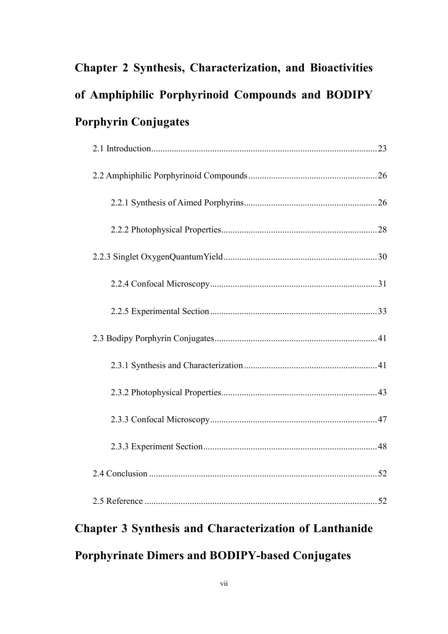## **Chapter 2 Synthesis, Characterization, and Bioactivities of Amphiphilic Porphyrinoid Compounds and BODIPY Porphyrin Conjugates**

# **Chapter 3 Synthesis and Characterization of Lanthanide**

### **Porphyrinate Dimers and BODIPY-based Conjugates**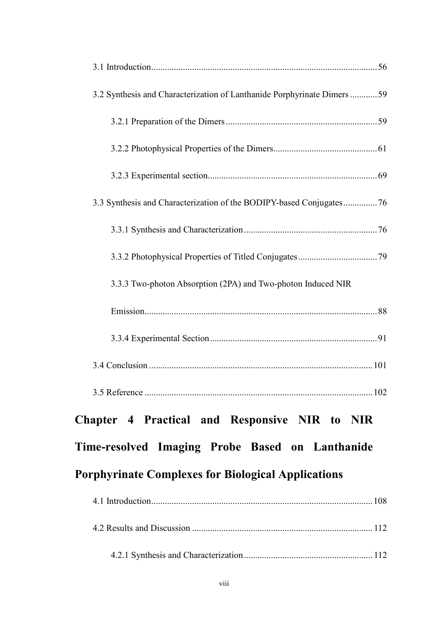| 3.2 Synthesis and Characterization of Lanthanide Porphyrinate Dimers  59 |
|--------------------------------------------------------------------------|
|                                                                          |
|                                                                          |
|                                                                          |
| 3.3 Synthesis and Characterization of the BODIPY-based Conjugates76      |
|                                                                          |
|                                                                          |
| 3.3.3 Two-photon Absorption (2PA) and Two-photon Induced NIR             |
|                                                                          |
|                                                                          |
|                                                                          |
|                                                                          |
| Chapter 4 Practical and Responsive NIR to NIR                            |
| Time-resolved Imaging Probe Based on Lanthanide                          |
| <b>Porphyrinate Complexes for Biological Applications</b>                |
|                                                                          |
|                                                                          |
|                                                                          |